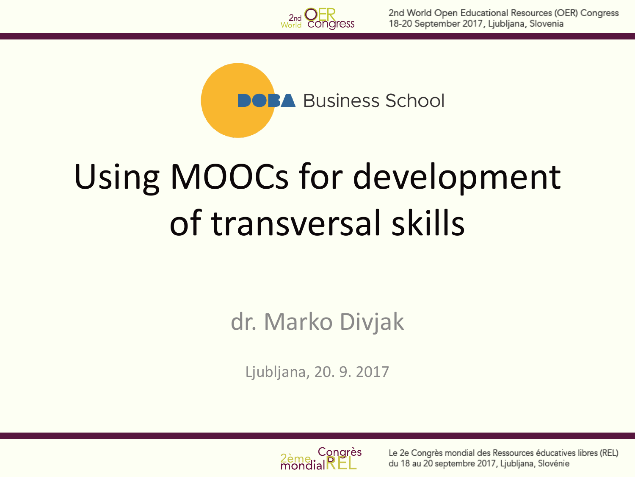

**BA** Business School

# Using MOOCs for development of transversal skills

dr. Marko Divjak

Ljubljana, 20. 9. 2017



Le 2e Congrès mondial des Ressources éducatives libres (REL) du 18 au 20 septembre 2017, Ljubljana, Slovénie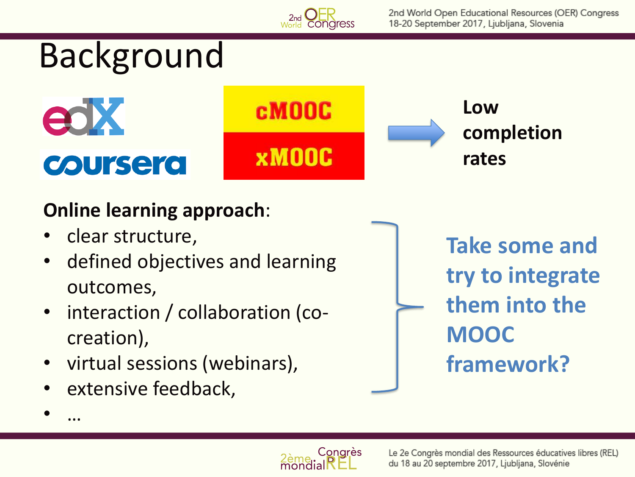

#### **Online learning approach**:

- clear structure,
- defined objectives and learning outcomes,
- interaction / collaboration (cocreation),
- virtual sessions (webinars),
- extensive feedback,

• …

**Take some and try to integrate them into the MOOC framework?**

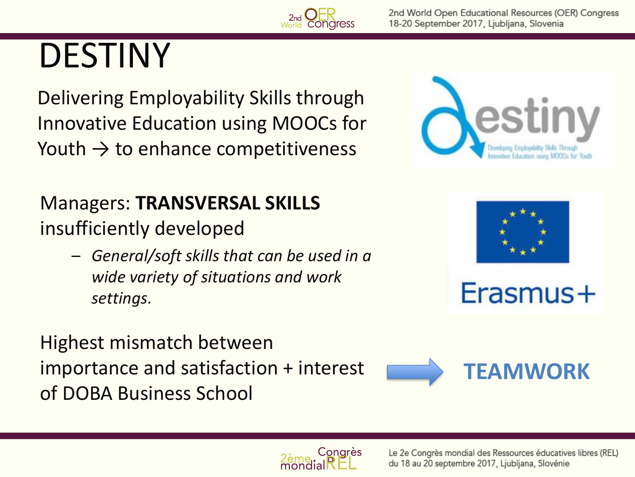

Delivering Employability Skills through Innovative Education using MOOCs for Youth  $\rightarrow$  to enhance competitiveness

Managers: **TRANSVERSAL SKILLS** insufficiently developed

> – *General/soft skills that can be used in a wide variety of situations and work settings.*

Highest mismatch between importance and satisfaction + interest of DOBA Business School







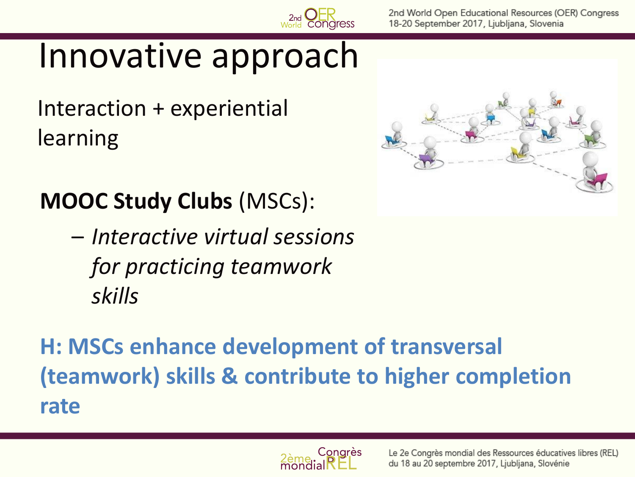

#### Innovative approach

Interaction + experiential learning



#### **MOOC Study Clubs** (MSCs):

– *Interactive virtual sessions for practicing teamwork skills*

**H: MSCs enhance development of transversal (teamwork) skills & contribute to higher completion rate** 

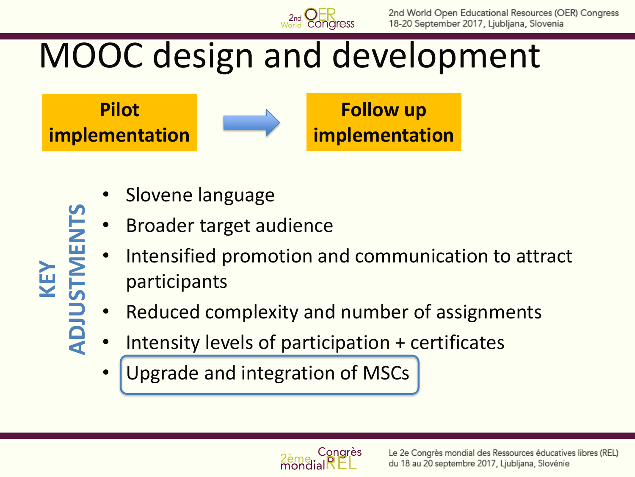

#### MOOC design and development

**Pilot implementation**

**KEY**<br>**ADJUSTMENTS ADJUSTMENTS**



**Follow up implementation**

- Slovene language
- Broader target audience
- Intensified promotion and communication to attract participants
- Reduced complexity and number of assignments
- Intensity levels of participation + certificates
- Upgrade and integration of MSCs

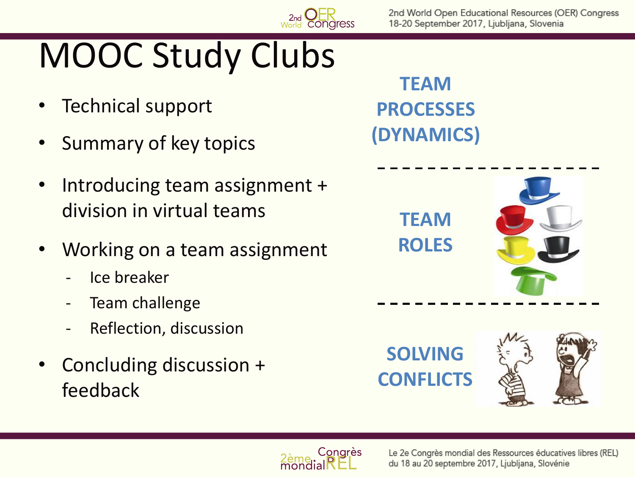# MOOC Study Clubs

- Technical support
- Summary of key topics
- Introducing team assignment + division in virtual teams
- Working on a team assignment
	- Ice breaker
	- Team challenge
	- Reflection, discussion
- Concluding discussion + feedback

**TEAM PROCESSES (DYNAMICS)**



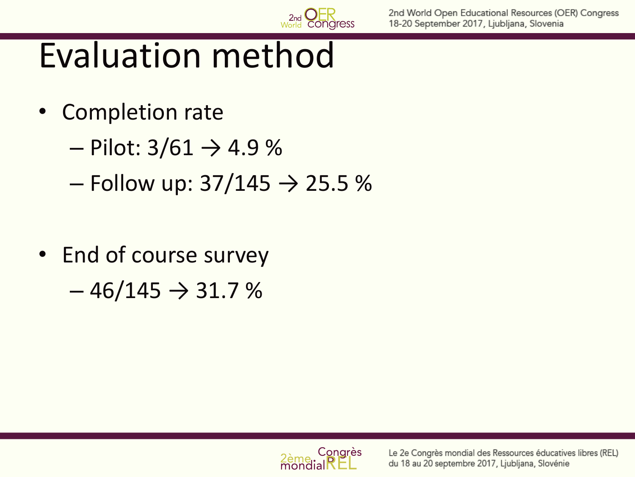#### Evaluation method

- Completion rate
	- $-$  Pilot: 3/61 → 4.9 %
	- Follow up:  $37/145$  → 25.5 %
- End of course survey  $-46/145 \rightarrow 31.7 \%$

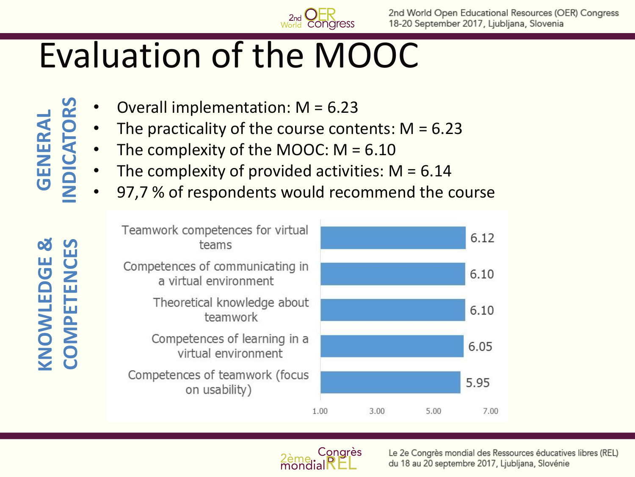

### Evaluation of the MOOC

Overall implementation:  $M = 6.23$ **INDICATORS**

**GENERAL** 

**KNOWLEDGE &** 

KNOWLEDGE

8

**COMPETENCES**

**COMPETENCES** 

- The practicality of the course contents:  $M = 6.23$ 
	- The complexity of the MOOC:  $M = 6.10$
	- The complexity of provided activities:  $M = 6.14$
	- 97,7 % of respondents would recommend the course





Le 2e Congrès mondial des Ressources éducatives libres (REL) du 18 au 20 septembre 2017, Ljubljana, Slovénie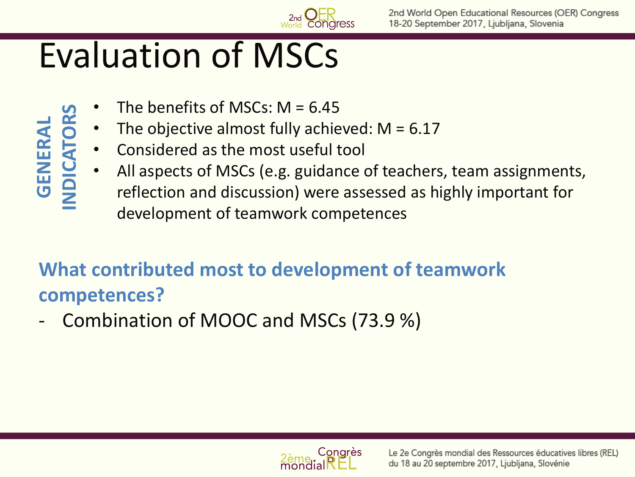

### Evaluation of MSCs

- The benefits of MSCs:  $M = 6.45$ **GENERAL INDICATORS**
	- The objective almost fully achieved:  $M = 6.17$
	- Considered as the most useful tool
	- All aspects of MSCs (e.g. guidance of teachers, team assignments, reflection and discussion) were assessed as highly important for development of teamwork competences

#### **What contributed most to development of teamwork competences?**

Combination of MOOC and MSCs (73.9 %)

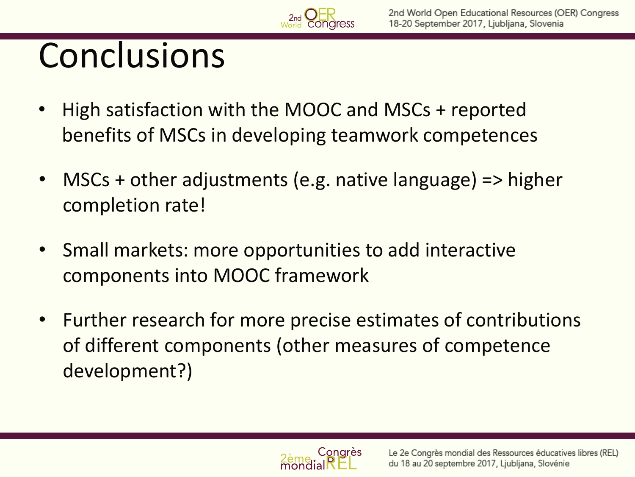## Conclusions

- High satisfaction with the MOOC and MSCs + reported benefits of MSCs in developing teamwork competences
- MSCs + other adjustments (e.g. native language) => higher completion rate!
- Small markets: more opportunities to add interactive components into MOOC framework
- Further research for more precise estimates of contributions of different components (other measures of competence development?)